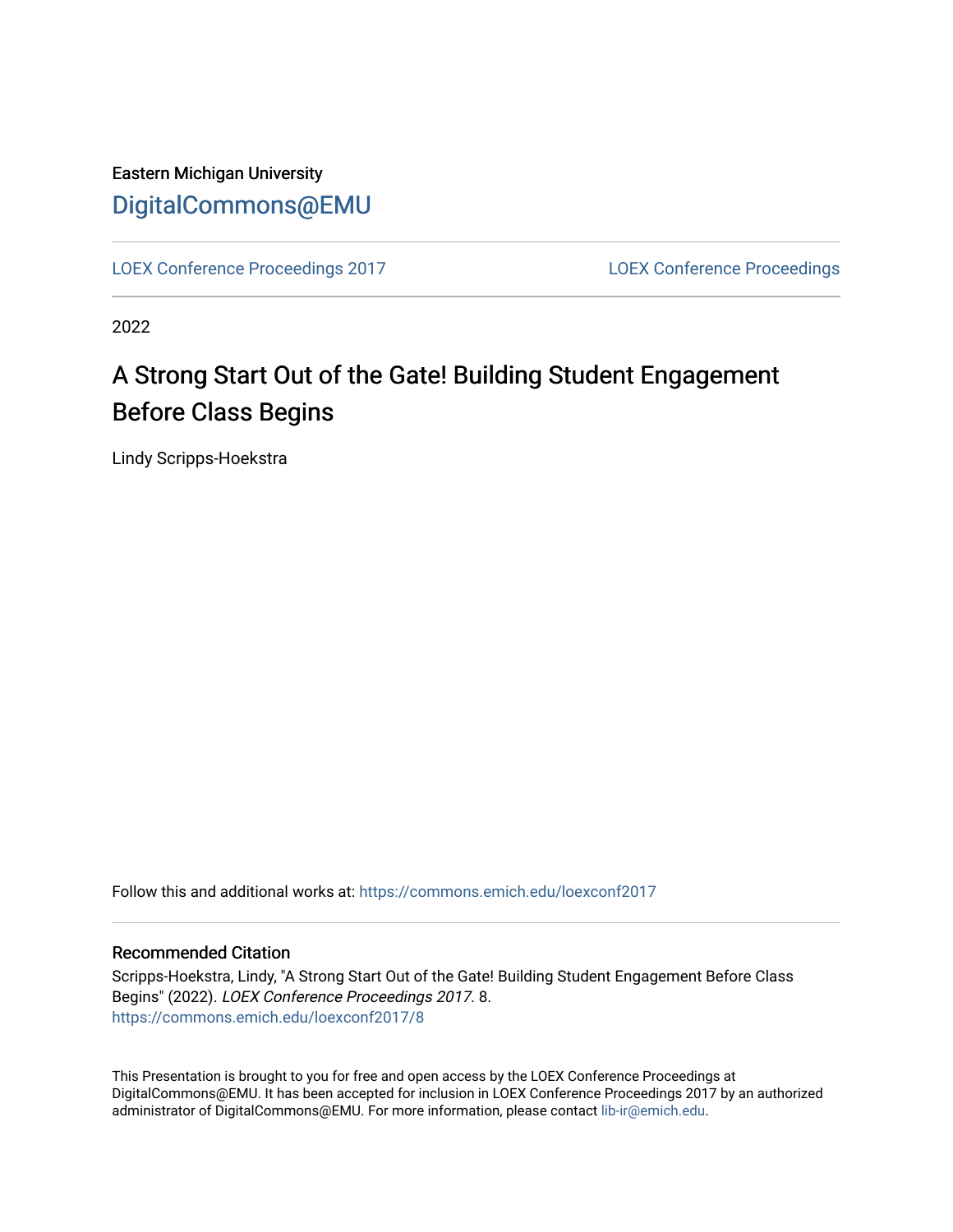Eastern Michigan University [DigitalCommons@EMU](https://commons.emich.edu/) 

[LOEX Conference Proceedings 2017](https://commons.emich.edu/loexconf2017) [LOEX Conference Proceedings](https://commons.emich.edu/loexconf) 

2022

## A Strong Start Out of the Gate! Building Student Engagement Before Class Begins

Lindy Scripps-Hoekstra

Follow this and additional works at: [https://commons.emich.edu/loexconf2017](https://commons.emich.edu/loexconf2017?utm_source=commons.emich.edu%2Floexconf2017%2F8&utm_medium=PDF&utm_campaign=PDFCoverPages) 

#### Recommended Citation

Scripps-Hoekstra, Lindy, "A Strong Start Out of the Gate! Building Student Engagement Before Class Begins" (2022). LOEX Conference Proceedings 2017. 8. [https://commons.emich.edu/loexconf2017/8](https://commons.emich.edu/loexconf2017/8?utm_source=commons.emich.edu%2Floexconf2017%2F8&utm_medium=PDF&utm_campaign=PDFCoverPages) 

This Presentation is brought to you for free and open access by the LOEX Conference Proceedings at DigitalCommons@EMU. It has been accepted for inclusion in LOEX Conference Proceedings 2017 by an authorized administrator of DigitalCommons@EMU. For more information, please contact [lib-ir@emich.edu](mailto:lib-ir@emich.edu).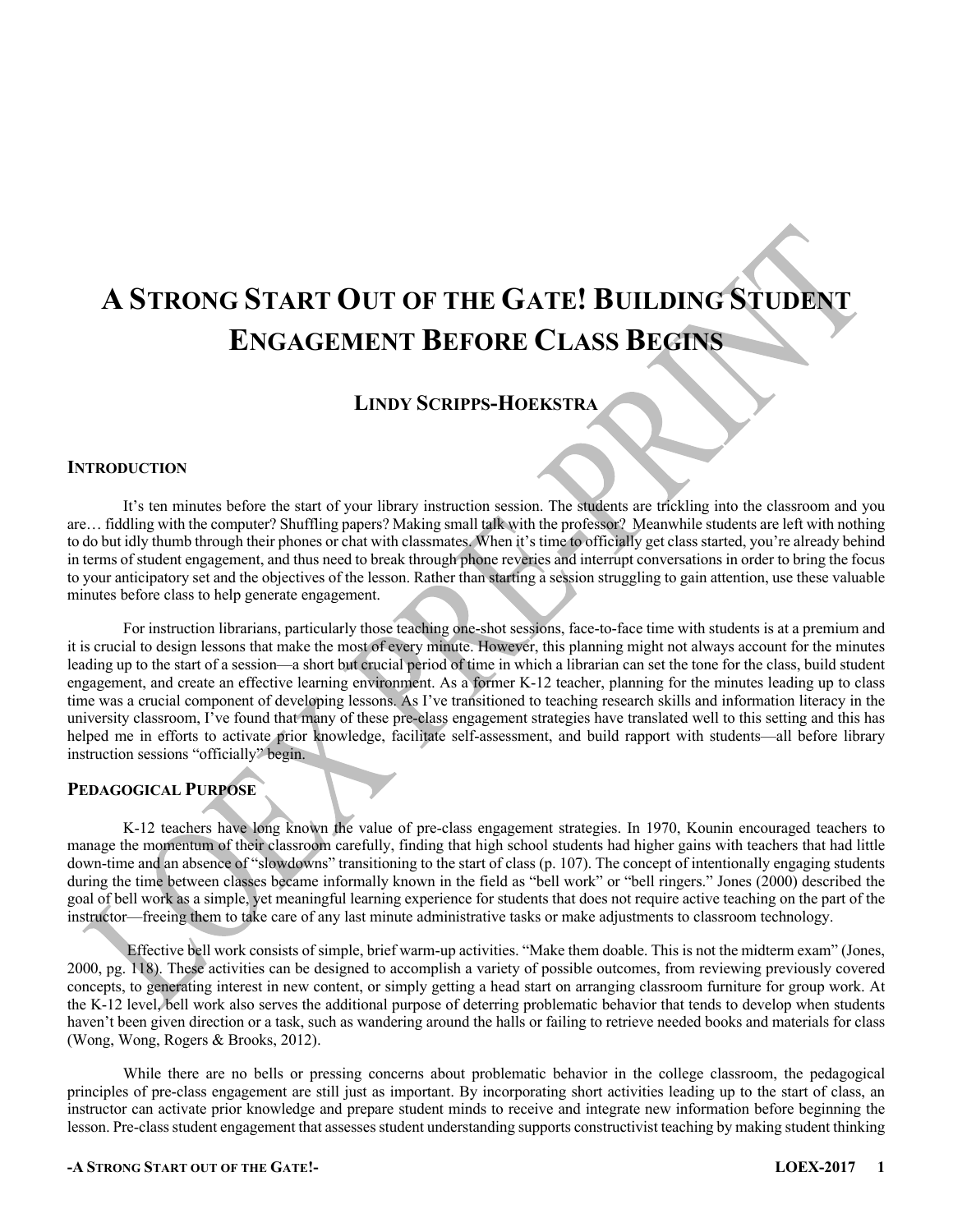# **A STRONG START OUT OF THE GATE! BUILDING STUDENT ENGAGEMENT BEFORE CLASS BEGINS**

## **LINDY SCRIPPS-HOEKSTRA**

#### **INTRODUCTION**

It's ten minutes before the start of your library instruction session. The students are trickling into the classroom and you are… fiddling with the computer? Shuffling papers? Making small talk with the professor? Meanwhile students are left with nothing to do but idly thumb through their phones or chat with classmates. When it's time to officially get class started, you're already behind in terms of student engagement, and thus need to break through phone reveries and interrupt conversations in order to bring the focus to your anticipatory set and the objectives of the lesson. Rather than starting a session struggling to gain attention, use these valuable minutes before class to help generate engagement.

For instruction librarians, particularly those teaching one-shot sessions, face-to-face time with students is at a premium and it is crucial to design lessons that make the most of every minute. However, this planning might not always account for the minutes leading up to the start of a session—a short but crucial period of time in which a librarian can set the tone for the class, build student engagement, and create an effective learning environment. As a former K-12 teacher, planning for the minutes leading up to class time was a crucial component of developing lessons. As I've transitioned to teaching research skills and information literacy in the university classroom, I've found that many of these pre-class engagement strategies have translated well to this setting and this has helped me in efforts to activate prior knowledge, facilitate self-assessment, and build rapport with students—all before library instruction sessions "officially" begin.

#### **PEDAGOGICAL PURPOSE**

K-12 teachers have long known the value of pre-class engagement strategies. In 1970, Kounin encouraged teachers to manage the momentum of their classroom carefully, finding that high school students had higher gains with teachers that had little down-time and an absence of "slowdowns" transitioning to the start of class (p. 107). The concept of intentionally engaging students during the time between classes became informally known in the field as "bell work" or "bell ringers." Jones (2000) described the goal of bell work as a simple, yet meaningful learning experience for students that does not require active teaching on the part of the instructor—freeing them to take care of any last minute administrative tasks or make adjustments to classroom technology.

Effective bell work consists of simple, brief warm-up activities. "Make them doable. This is not the midterm exam" (Jones, 2000, pg. 118). These activities can be designed to accomplish a variety of possible outcomes, from reviewing previously covered concepts, to generating interest in new content, or simply getting a head start on arranging classroom furniture for group work. At the K-12 level, bell work also serves the additional purpose of deterring problematic behavior that tends to develop when students haven't been given direction or a task, such as wandering around the halls or failing to retrieve needed books and materials for class (Wong, Wong, Rogers & Brooks, 2012).

While there are no bells or pressing concerns about problematic behavior in the college classroom, the pedagogical principles of pre-class engagement are still just as important. By incorporating short activities leading up to the start of class, an instructor can activate prior knowledge and prepare student minds to receive and integrate new information before beginning the lesson. Pre-class student engagement that assesses student understanding supports constructivist teaching by making student thinking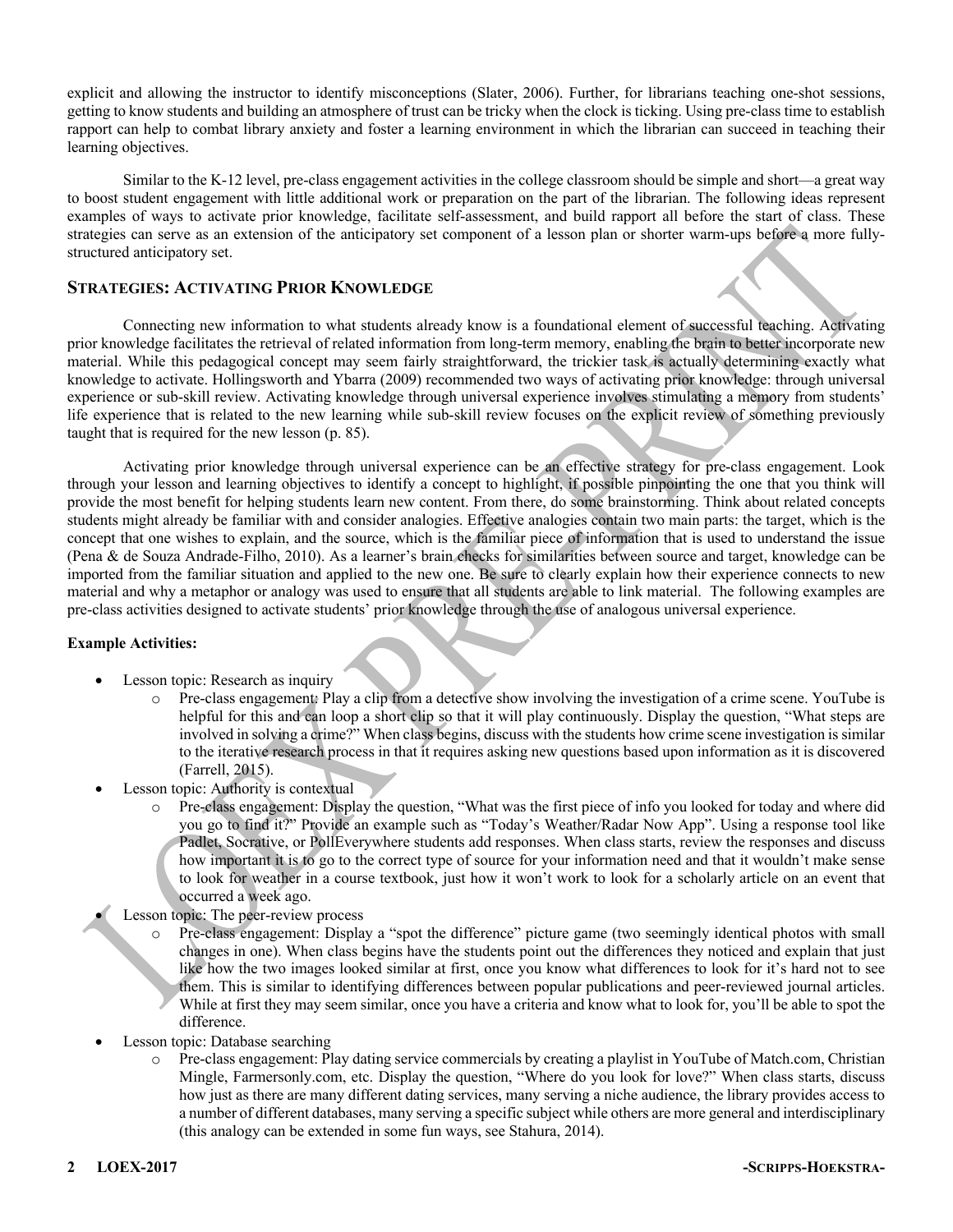explicit and allowing the instructor to identify misconceptions (Slater, 2006). Further, for librarians teaching one-shot sessions, getting to know students and building an atmosphere of trust can be tricky when the clock is ticking. Using pre-class time to establish rapport can help to combat library anxiety and foster a learning environment in which the librarian can succeed in teaching their learning objectives.

Similar to the K-12 level, pre-class engagement activities in the college classroom should be simple and short—a great way to boost student engagement with little additional work or preparation on the part of the librarian. The following ideas represent examples of ways to activate prior knowledge, facilitate self-assessment, and build rapport all before the start of class. These strategies can serve as an extension of the anticipatory set component of a lesson plan or shorter warm-ups before a more fullystructured anticipatory set.

#### **STRATEGIES: ACTIVATING PRIOR KNOWLEDGE**

Connecting new information to what students already know is a foundational element of successful teaching. Activating prior knowledge facilitates the retrieval of related information from long-term memory, enabling the brain to better incorporate new material. While this pedagogical concept may seem fairly straightforward, the trickier task is actually determining exactly what knowledge to activate. Hollingsworth and Ybarra (2009) recommended two ways of activating prior knowledge: through universal experience or sub-skill review. Activating knowledge through universal experience involves stimulating a memory from students' life experience that is related to the new learning while sub-skill review focuses on the explicit review of something previously taught that is required for the new lesson (p. 85).

Activating prior knowledge through universal experience can be an effective strategy for pre-class engagement. Look through your lesson and learning objectives to identify a concept to highlight, if possible pinpointing the one that you think will provide the most benefit for helping students learn new content. From there, do some brainstorming. Think about related concepts students might already be familiar with and consider analogies. Effective analogies contain two main parts: the target, which is the concept that one wishes to explain, and the source, which is the familiar piece of information that is used to understand the issue (Pena & de Souza Andrade-Filho, 2010). As a learner's brain checks for similarities between source and target, knowledge can be imported from the familiar situation and applied to the new one. Be sure to clearly explain how their experience connects to new material and why a metaphor or analogy was used to ensure that all students are able to link material. The following examples are pre-class activities designed to activate students' prior knowledge through the use of analogous universal experience.

#### **Example Activities:**

- Lesson topic: Research as inquiry
	- Pre-class engagement: Play a clip from a detective show involving the investigation of a crime scene. YouTube is helpful for this and can loop a short clip so that it will play continuously. Display the question, "What steps are involved in solving a crime?" When class begins, discuss with the students how crime scene investigation is similar to the iterative research process in that it requires asking new questions based upon information as it is discovered (Farrell, 2015).
- Lesson topic: Authority is contextual
	- o Pre-class engagement: Display the question, "What was the first piece of info you looked for today and where did you go to find it?" Provide an example such as "Today's Weather/Radar Now App". Using a response tool like Padlet, Socrative, or PollEverywhere students add responses. When class starts, review the responses and discuss how important it is to go to the correct type of source for your information need and that it wouldn't make sense to look for weather in a course textbook, just how it won't work to look for a scholarly article on an event that occurred a week ago.
	- Lesson topic: The peer-review process
		- Pre-class engagement: Display a "spot the difference" picture game (two seemingly identical photos with small changes in one). When class begins have the students point out the differences they noticed and explain that just like how the two images looked similar at first, once you know what differences to look for it's hard not to see them. This is similar to identifying differences between popular publications and peer-reviewed journal articles. While at first they may seem similar, once you have a criteria and know what to look for, you'll be able to spot the difference.
- Lesson topic: Database searching
	- Pre-class engagement: Play dating service commercials by creating a playlist in YouTube of Match.com, Christian Mingle, Farmersonly.com, etc. Display the question, "Where do you look for love?" When class starts, discuss how just as there are many different dating services, many serving a niche audience, the library provides access to a number of different databases, many serving a specific subject while others are more general and interdisciplinary (this analogy can be extended in some fun ways, see Stahura, 2014).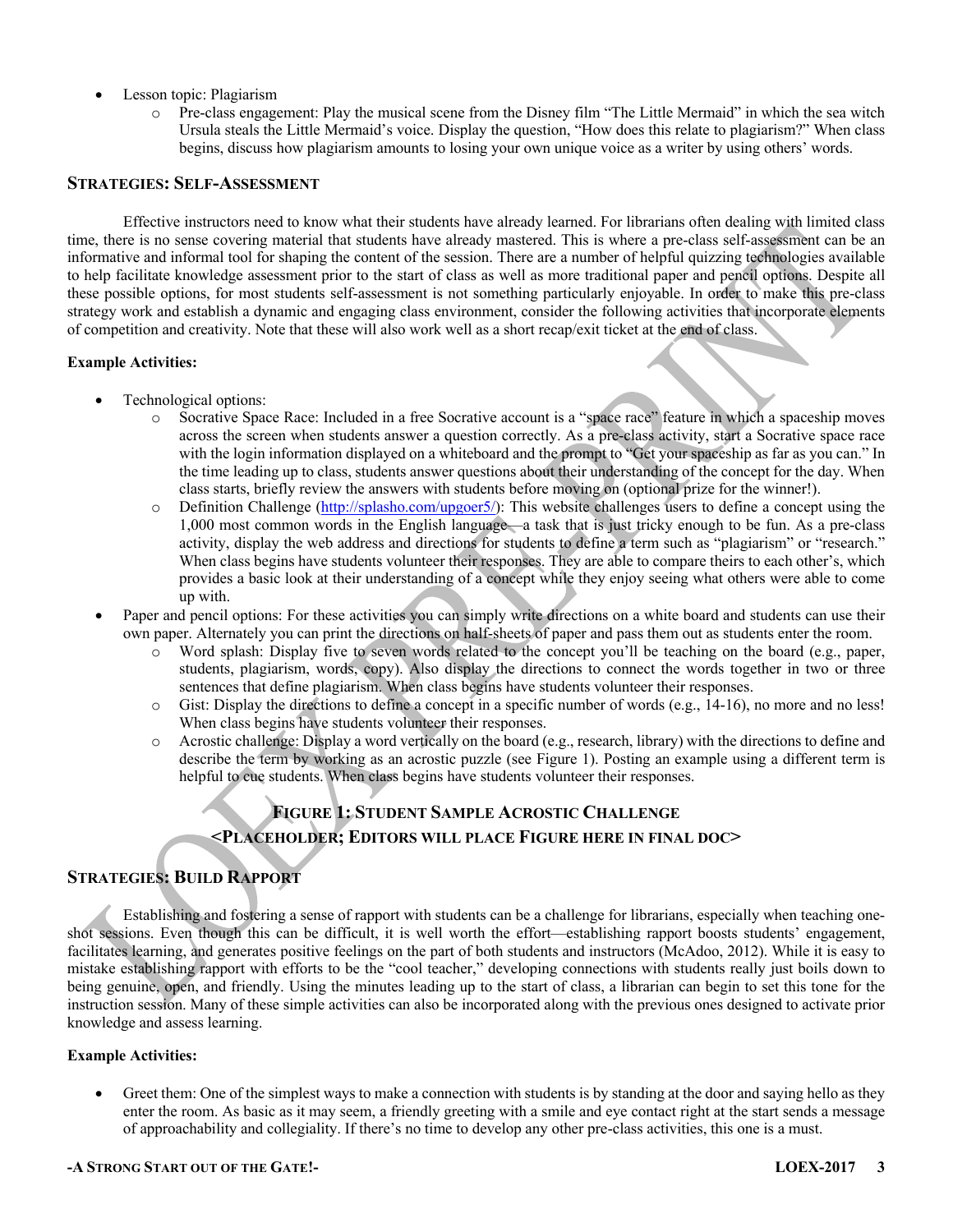- Lesson topic: Plagiarism
	- o Pre-class engagement: Play the musical scene from the Disney film "The Little Mermaid" in which the sea witch Ursula steals the Little Mermaid's voice. Display the question, "How does this relate to plagiarism?" When class begins, discuss how plagiarism amounts to losing your own unique voice as a writer by using others' words.

#### **STRATEGIES: SELF-ASSESSMENT**

Effective instructors need to know what their students have already learned. For librarians often dealing with limited class time, there is no sense covering material that students have already mastered. This is where a pre-class self-assessment can be an informative and informal tool for shaping the content of the session. There are a number of helpful quizzing technologies available to help facilitate knowledge assessment prior to the start of class as well as more traditional paper and pencil options. Despite all these possible options, for most students self-assessment is not something particularly enjoyable. In order to make this pre-class strategy work and establish a dynamic and engaging class environment, consider the following activities that incorporate elements of competition and creativity. Note that these will also work well as a short recap/exit ticket at the end of class.

#### **Example Activities:**

- Technological options:
	- o Socrative Space Race: Included in a free Socrative account is a "space race" feature in which a spaceship moves across the screen when students answer a question correctly. As a pre-class activity, start a Socrative space race with the login information displayed on a whiteboard and the prompt to "Get your spaceship as far as you can." In the time leading up to class, students answer questions about their understanding of the concept for the day. When class starts, briefly review the answers with students before moving on (optional prize for the winner!).
	- o Definition Challenge (http://splasho.com/upgoer5/): This website challenges users to define a concept using the 1,000 most common words in the English language—a task that is just tricky enough to be fun. As a pre-class activity, display the web address and directions for students to define a term such as "plagiarism" or "research." When class begins have students volunteer their responses. They are able to compare theirs to each other's, which provides a basic look at their understanding of a concept while they enjoy seeing what others were able to come up with.
- Paper and pencil options: For these activities you can simply write directions on a white board and students can use their own paper. Alternately you can print the directions on half-sheets of paper and pass them out as students enter the room.
	- $\circ$  Word splash: Display five to seven words related to the concept you'll be teaching on the board (e.g., paper, students, plagiarism, words, copy). Also display the directions to connect the words together in two or three sentences that define plagiarism. When class begins have students volunteer their responses.
	- Gist: Display the directions to define a concept in a specific number of words (e.g.,  $14-16$ ), no more and no less! When class begins have students volunteer their responses.
	- $\circ$  Acrostic challenge: Display a word vertically on the board (e.g., research, library) with the directions to define and describe the term by working as an acrostic puzzle (see Figure 1). Posting an example using a different term is helpful to cue students. When class begins have students volunteer their responses.

## **FIGURE 1: STUDENT SAMPLE ACROSTIC CHALLENGE <PLACEHOLDER; EDITORS WILL PLACE FIGURE HERE IN FINAL DOC>**

### **STRATEGIES: BUILD RAPPORT**

Establishing and fostering a sense of rapport with students can be a challenge for librarians, especially when teaching oneshot sessions. Even though this can be difficult, it is well worth the effort—establishing rapport boosts students' engagement, facilitates learning, and generates positive feelings on the part of both students and instructors (McAdoo, 2012). While it is easy to mistake establishing rapport with efforts to be the "cool teacher," developing connections with students really just boils down to being genuine, open, and friendly. Using the minutes leading up to the start of class, a librarian can begin to set this tone for the instruction session. Many of these simple activities can also be incorporated along with the previous ones designed to activate prior knowledge and assess learning.

#### **Example Activities:**

• Greet them: One of the simplest ways to make a connection with students is by standing at the door and saying hello as they enter the room. As basic as it may seem, a friendly greeting with a smile and eye contact right at the start sends a message of approachability and collegiality. If there's no time to develop any other pre-class activities, this one is a must.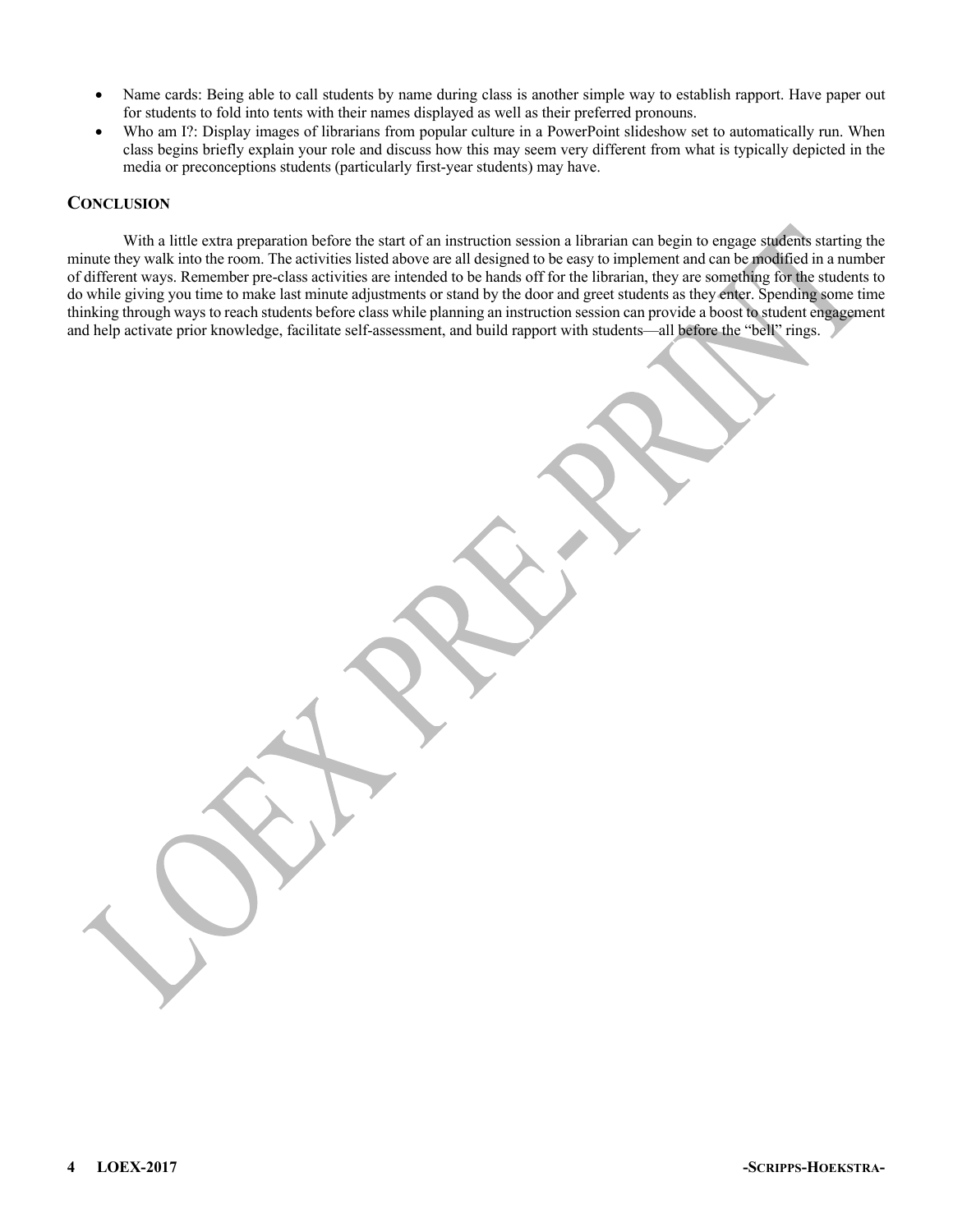- Name cards: Being able to call students by name during class is another simple way to establish rapport. Have paper out for students to fold into tents with their names displayed as well as their preferred pronouns.
- Who am I?: Display images of librarians from popular culture in a PowerPoint slideshow set to automatically run. When class begins briefly explain your role and discuss how this may seem very different from what is typically depicted in the media or preconceptions students (particularly first-year students) may have.

#### **CONCLUSION**

With a little extra preparation before the start of an instruction session a librarian can begin to engage students starting the minute they walk into the room. The activities listed above are all designed to be easy to implement and can be modified in a number of different ways. Remember pre-class activities are intended to be hands off for the librarian, they are something for the students to do while giving you time to make last minute adjustments or stand by the door and greet students as they enter. Spending some time thinking through ways to reach students before class while planning an instruction session can provide a boost to student engagement and help activate prior knowledge, facilitate self-assessment, and build rapport with students—all before the "bell" rings.